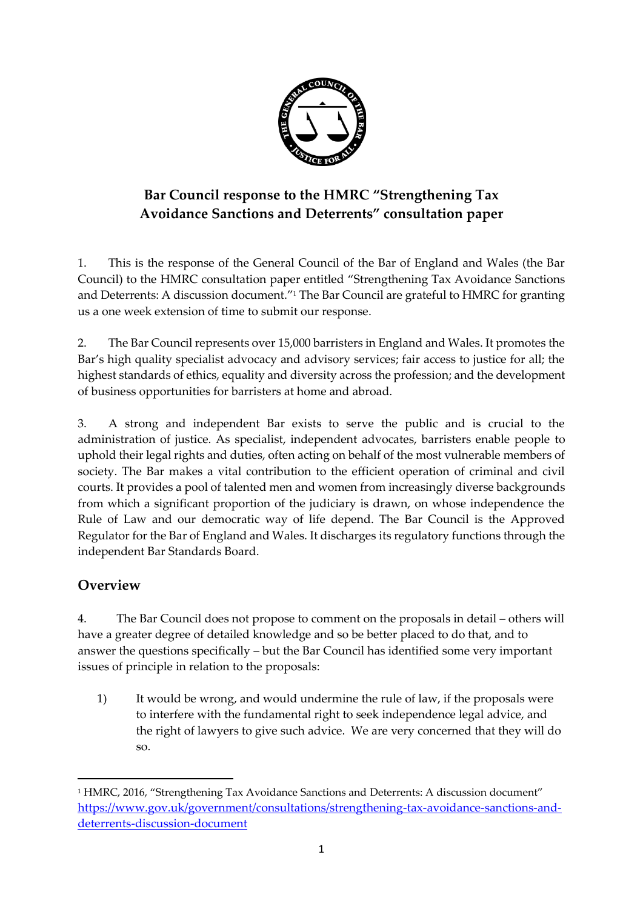

# **Bar Council response to the HMRC "Strengthening Tax Avoidance Sanctions and Deterrents" consultation paper**

1. This is the response of the General Council of the Bar of England and Wales (the Bar Council) to the HMRC consultation paper entitled "Strengthening Tax Avoidance Sanctions and Deterrents: A discussion document."<sup>1</sup> The Bar Council are grateful to HMRC for granting us a one week extension of time to submit our response.

2. The Bar Council represents over 15,000 barristers in England and Wales. It promotes the Bar's high quality specialist advocacy and advisory services; fair access to justice for all; the highest standards of ethics, equality and diversity across the profession; and the development of business opportunities for barristers at home and abroad.

3. A strong and independent Bar exists to serve the public and is crucial to the administration of justice. As specialist, independent advocates, barristers enable people to uphold their legal rights and duties, often acting on behalf of the most vulnerable members of society. The Bar makes a vital contribution to the efficient operation of criminal and civil courts. It provides a pool of talented men and women from increasingly diverse backgrounds from which a significant proportion of the judiciary is drawn, on whose independence the Rule of Law and our democratic way of life depend. The Bar Council is the Approved Regulator for the Bar of England and Wales. It discharges its regulatory functions through the independent Bar Standards Board.

## **Overview**

1

4. The Bar Council does not propose to comment on the proposals in detail – others will have a greater degree of detailed knowledge and so be better placed to do that, and to answer the questions specifically – but the Bar Council has identified some very important issues of principle in relation to the proposals:

1) It would be wrong, and would undermine the rule of law, if the proposals were to interfere with the fundamental right to seek independence legal advice, and the right of lawyers to give such advice. We are very concerned that they will do so.

<sup>1</sup> HMRC, 2016, "Strengthening Tax Avoidance Sanctions and Deterrents: A discussion document" [https://www.gov.uk/government/consultations/strengthening-tax-avoidance-sanctions-and](https://www.gov.uk/government/consultations/strengthening-tax-avoidance-sanctions-and-deterrents-discussion-document)[deterrents-discussion-document](https://www.gov.uk/government/consultations/strengthening-tax-avoidance-sanctions-and-deterrents-discussion-document)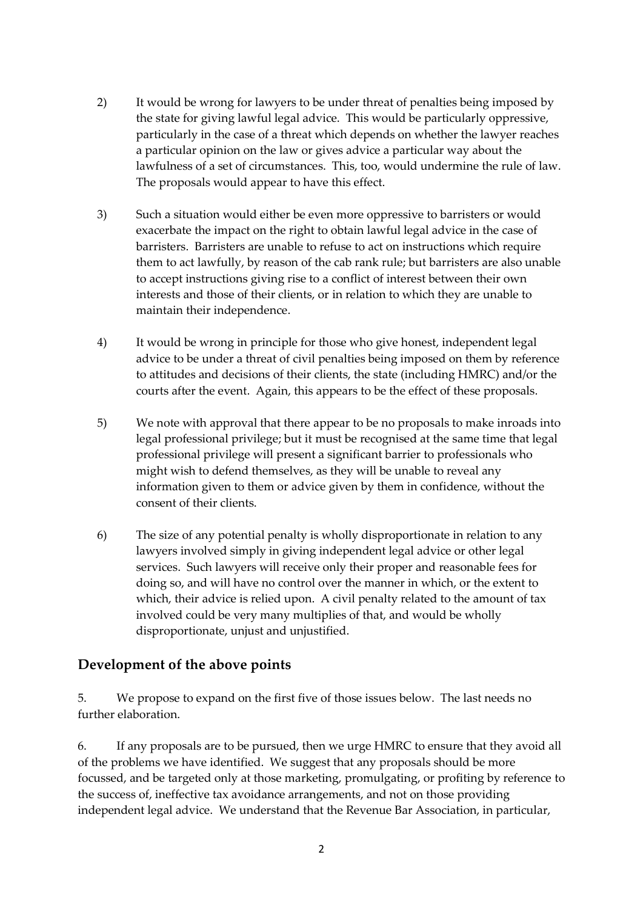- 2) It would be wrong for lawyers to be under threat of penalties being imposed by the state for giving lawful legal advice. This would be particularly oppressive, particularly in the case of a threat which depends on whether the lawyer reaches a particular opinion on the law or gives advice a particular way about the lawfulness of a set of circumstances. This, too, would undermine the rule of law. The proposals would appear to have this effect.
- 3) Such a situation would either be even more oppressive to barristers or would exacerbate the impact on the right to obtain lawful legal advice in the case of barristers. Barristers are unable to refuse to act on instructions which require them to act lawfully, by reason of the cab rank rule; but barristers are also unable to accept instructions giving rise to a conflict of interest between their own interests and those of their clients, or in relation to which they are unable to maintain their independence.
- 4) It would be wrong in principle for those who give honest, independent legal advice to be under a threat of civil penalties being imposed on them by reference to attitudes and decisions of their clients, the state (including HMRC) and/or the courts after the event. Again, this appears to be the effect of these proposals.
- 5) We note with approval that there appear to be no proposals to make inroads into legal professional privilege; but it must be recognised at the same time that legal professional privilege will present a significant barrier to professionals who might wish to defend themselves, as they will be unable to reveal any information given to them or advice given by them in confidence, without the consent of their clients.
- 6) The size of any potential penalty is wholly disproportionate in relation to any lawyers involved simply in giving independent legal advice or other legal services. Such lawyers will receive only their proper and reasonable fees for doing so, and will have no control over the manner in which, or the extent to which, their advice is relied upon. A civil penalty related to the amount of tax involved could be very many multiplies of that, and would be wholly disproportionate, unjust and unjustified.

### **Development of the above points**

5. We propose to expand on the first five of those issues below. The last needs no further elaboration.

6. If any proposals are to be pursued, then we urge HMRC to ensure that they avoid all of the problems we have identified. We suggest that any proposals should be more focussed, and be targeted only at those marketing, promulgating, or profiting by reference to the success of, ineffective tax avoidance arrangements, and not on those providing independent legal advice. We understand that the Revenue Bar Association, in particular,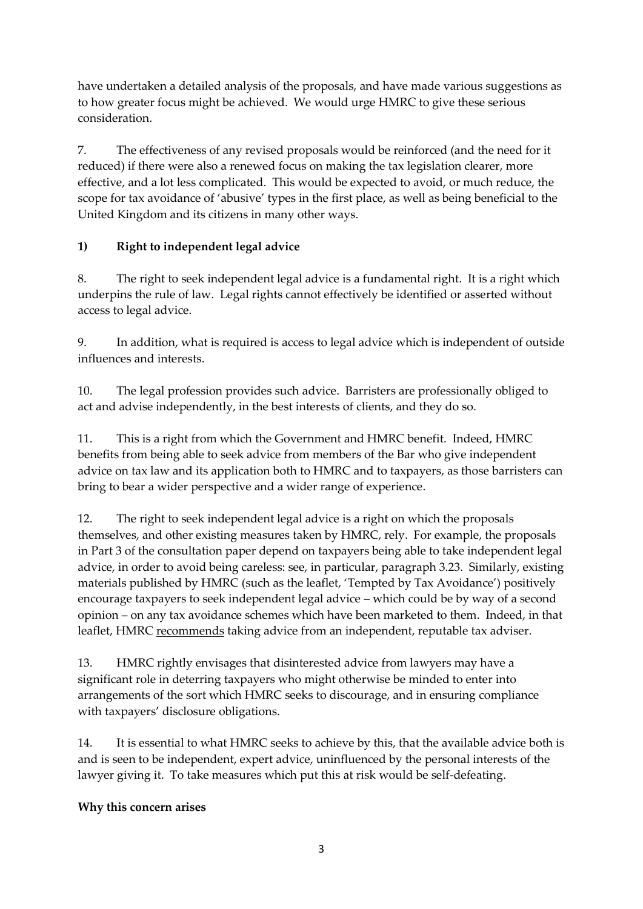have undertaken a detailed analysis of the proposals, and have made various suggestions as to how greater focus might be achieved. We would urge HMRC to give these serious consideration.

7. The effectiveness of any revised proposals would be reinforced (and the need for it reduced) if there were also a renewed focus on making the tax legislation clearer, more effective, and a lot less complicated. This would be expected to avoid, or much reduce, the scope for tax avoidance of 'abusive' types in the first place, as well as being beneficial to the United Kingdom and its citizens in many other ways.

### **1) Right to independent legal advice**

8. The right to seek independent legal advice is a fundamental right. It is a right which underpins the rule of law. Legal rights cannot effectively be identified or asserted without access to legal advice.

9. In addition, what is required is access to legal advice which is independent of outside influences and interests.

10. The legal profession provides such advice. Barristers are professionally obliged to act and advise independently, in the best interests of clients, and they do so.

11. This is a right from which the Government and HMRC benefit. Indeed, HMRC benefits from being able to seek advice from members of the Bar who give independent advice on tax law and its application both to HMRC and to taxpayers, as those barristers can bring to bear a wider perspective and a wider range of experience.

12. The right to seek independent legal advice is a right on which the proposals themselves, and other existing measures taken by HMRC, rely. For example, the proposals in Part 3 of the consultation paper depend on taxpayers being able to take independent legal advice, in order to avoid being careless: see, in particular, paragraph 3.23. Similarly, existing materials published by HMRC (such as the leaflet, 'Tempted by Tax Avoidance') positively encourage taxpayers to seek independent legal advice – which could be by way of a second opinion – on any tax avoidance schemes which have been marketed to them. Indeed, in that leaflet, HMRC recommends taking advice from an independent, reputable tax adviser.

13. HMRC rightly envisages that disinterested advice from lawyers may have a significant role in deterring taxpayers who might otherwise be minded to enter into arrangements of the sort which HMRC seeks to discourage, and in ensuring compliance with taxpayers' disclosure obligations.

14. It is essential to what HMRC seeks to achieve by this, that the available advice both is and is seen to be independent, expert advice, uninfluenced by the personal interests of the lawyer giving it. To take measures which put this at risk would be self-defeating.

### **Why this concern arises**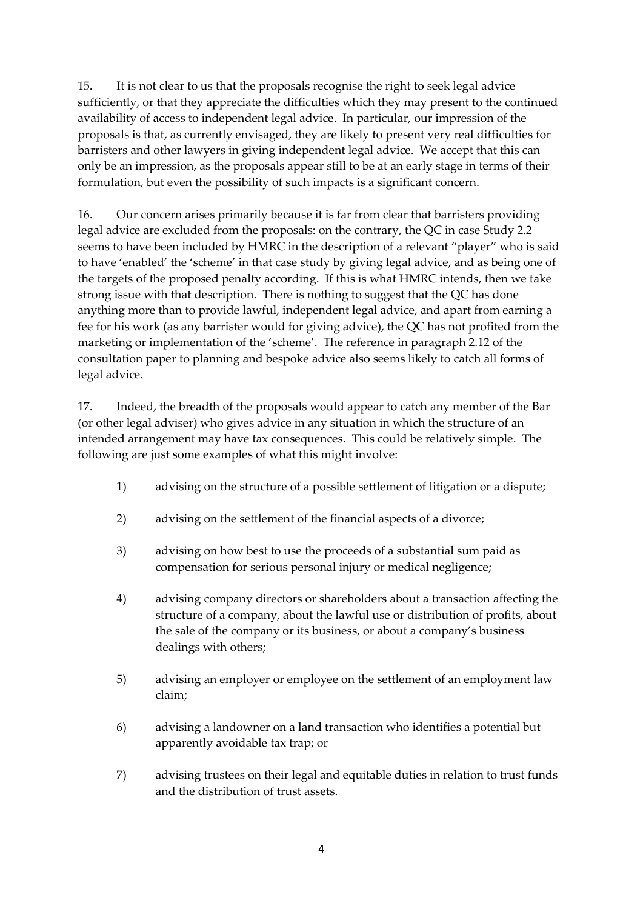15. It is not clear to us that the proposals recognise the right to seek legal advice sufficiently, or that they appreciate the difficulties which they may present to the continued availability of access to independent legal advice. In particular, our impression of the proposals is that, as currently envisaged, they are likely to present very real difficulties for barristers and other lawyers in giving independent legal advice. We accept that this can only be an impression, as the proposals appear still to be at an early stage in terms of their formulation, but even the possibility of such impacts is a significant concern.

16. Our concern arises primarily because it is far from clear that barristers providing legal advice are excluded from the proposals: on the contrary, the QC in case Study 2.2 seems to have been included by HMRC in the description of a relevant "player" who is said to have 'enabled' the 'scheme' in that case study by giving legal advice, and as being one of the targets of the proposed penalty according. If this is what HMRC intends, then we take strong issue with that description. There is nothing to suggest that the QC has done anything more than to provide lawful, independent legal advice, and apart from earning a fee for his work (as any barrister would for giving advice), the QC has not profited from the marketing or implementation of the 'scheme'. The reference in paragraph 2.12 of the consultation paper to planning and bespoke advice also seems likely to catch all forms of legal advice.

17. Indeed, the breadth of the proposals would appear to catch any member of the Bar (or other legal adviser) who gives advice in any situation in which the structure of an intended arrangement may have tax consequences. This could be relatively simple. The following are just some examples of what this might involve:

- 1) advising on the structure of a possible settlement of litigation or a dispute;
- 2) advising on the settlement of the financial aspects of a divorce;
- 3) advising on how best to use the proceeds of a substantial sum paid as compensation for serious personal injury or medical negligence;
- 4) advising company directors or shareholders about a transaction affecting the structure of a company, about the lawful use or distribution of profits, about the sale of the company or its business, or about a company's business dealings with others;
- 5) advising an employer or employee on the settlement of an employment law claim;
- 6) advising a landowner on a land transaction who identifies a potential but apparently avoidable tax trap; or
- 7) advising trustees on their legal and equitable duties in relation to trust funds and the distribution of trust assets.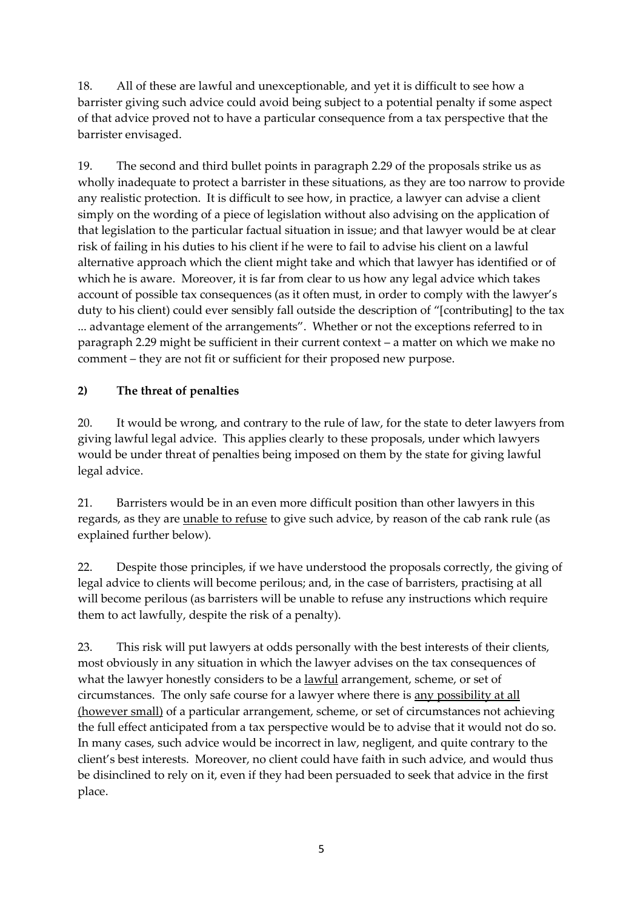18. All of these are lawful and unexceptionable, and yet it is difficult to see how a barrister giving such advice could avoid being subject to a potential penalty if some aspect of that advice proved not to have a particular consequence from a tax perspective that the barrister envisaged.

19. The second and third bullet points in paragraph 2.29 of the proposals strike us as wholly inadequate to protect a barrister in these situations, as they are too narrow to provide any realistic protection. It is difficult to see how, in practice, a lawyer can advise a client simply on the wording of a piece of legislation without also advising on the application of that legislation to the particular factual situation in issue; and that lawyer would be at clear risk of failing in his duties to his client if he were to fail to advise his client on a lawful alternative approach which the client might take and which that lawyer has identified or of which he is aware. Moreover, it is far from clear to us how any legal advice which takes account of possible tax consequences (as it often must, in order to comply with the lawyer's duty to his client) could ever sensibly fall outside the description of "[contributing] to the tax ... advantage element of the arrangements". Whether or not the exceptions referred to in paragraph 2.29 might be sufficient in their current context – a matter on which we make no comment – they are not fit or sufficient for their proposed new purpose.

### **2) The threat of penalties**

20. It would be wrong, and contrary to the rule of law, for the state to deter lawyers from giving lawful legal advice. This applies clearly to these proposals, under which lawyers would be under threat of penalties being imposed on them by the state for giving lawful legal advice.

21. Barristers would be in an even more difficult position than other lawyers in this regards, as they are unable to refuse to give such advice, by reason of the cab rank rule (as explained further below).

22. Despite those principles, if we have understood the proposals correctly, the giving of legal advice to clients will become perilous; and, in the case of barristers, practising at all will become perilous (as barristers will be unable to refuse any instructions which require them to act lawfully, despite the risk of a penalty).

23. This risk will put lawyers at odds personally with the best interests of their clients, most obviously in any situation in which the lawyer advises on the tax consequences of what the lawyer honestly considers to be a lawful arrangement, scheme, or set of circumstances. The only safe course for a lawyer where there is any possibility at all (however small) of a particular arrangement, scheme, or set of circumstances not achieving the full effect anticipated from a tax perspective would be to advise that it would not do so. In many cases, such advice would be incorrect in law, negligent, and quite contrary to the client's best interests. Moreover, no client could have faith in such advice, and would thus be disinclined to rely on it, even if they had been persuaded to seek that advice in the first place.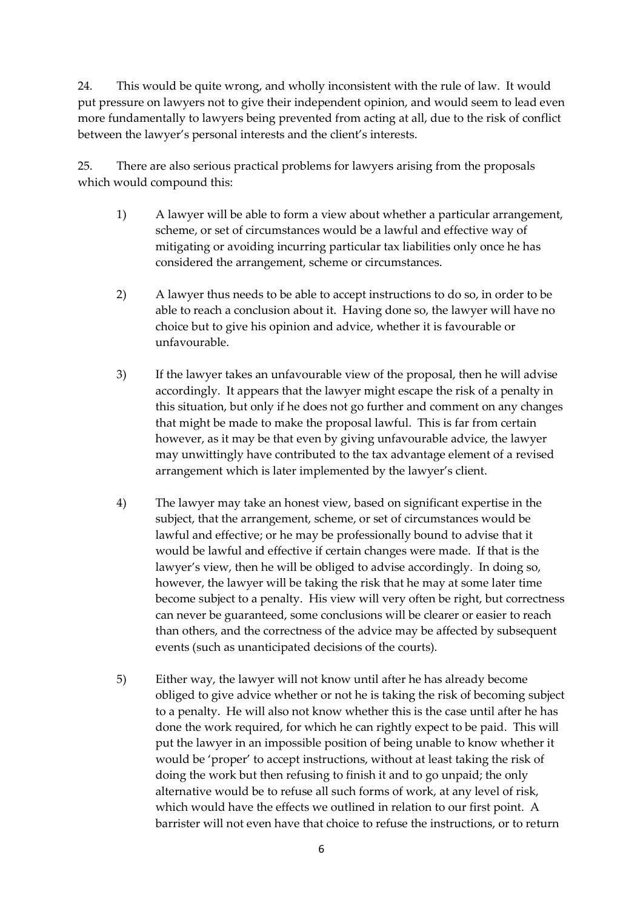24. This would be quite wrong, and wholly inconsistent with the rule of law. It would put pressure on lawyers not to give their independent opinion, and would seem to lead even more fundamentally to lawyers being prevented from acting at all, due to the risk of conflict between the lawyer's personal interests and the client's interests.

25. There are also serious practical problems for lawyers arising from the proposals which would compound this:

- 1) A lawyer will be able to form a view about whether a particular arrangement, scheme, or set of circumstances would be a lawful and effective way of mitigating or avoiding incurring particular tax liabilities only once he has considered the arrangement, scheme or circumstances.
- 2) A lawyer thus needs to be able to accept instructions to do so, in order to be able to reach a conclusion about it. Having done so, the lawyer will have no choice but to give his opinion and advice, whether it is favourable or unfavourable.
- 3) If the lawyer takes an unfavourable view of the proposal, then he will advise accordingly. It appears that the lawyer might escape the risk of a penalty in this situation, but only if he does not go further and comment on any changes that might be made to make the proposal lawful. This is far from certain however, as it may be that even by giving unfavourable advice, the lawyer may unwittingly have contributed to the tax advantage element of a revised arrangement which is later implemented by the lawyer's client.
- 4) The lawyer may take an honest view, based on significant expertise in the subject, that the arrangement, scheme, or set of circumstances would be lawful and effective; or he may be professionally bound to advise that it would be lawful and effective if certain changes were made. If that is the lawyer's view, then he will be obliged to advise accordingly. In doing so, however, the lawyer will be taking the risk that he may at some later time become subject to a penalty. His view will very often be right, but correctness can never be guaranteed, some conclusions will be clearer or easier to reach than others, and the correctness of the advice may be affected by subsequent events (such as unanticipated decisions of the courts).
- 5) Either way, the lawyer will not know until after he has already become obliged to give advice whether or not he is taking the risk of becoming subject to a penalty. He will also not know whether this is the case until after he has done the work required, for which he can rightly expect to be paid. This will put the lawyer in an impossible position of being unable to know whether it would be 'proper' to accept instructions, without at least taking the risk of doing the work but then refusing to finish it and to go unpaid; the only alternative would be to refuse all such forms of work, at any level of risk, which would have the effects we outlined in relation to our first point. A barrister will not even have that choice to refuse the instructions, or to return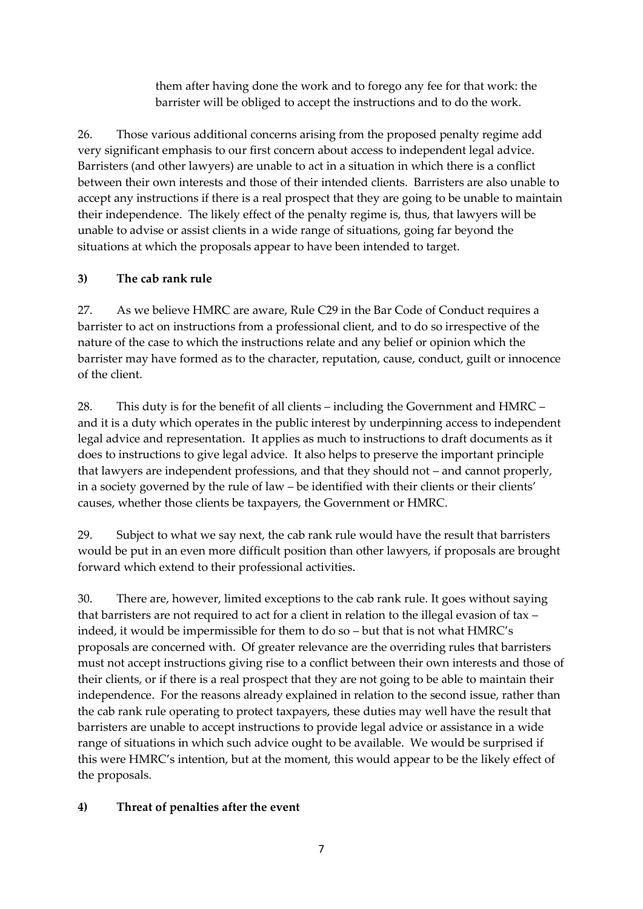them after having done the work and to forego any fee for that work: the barrister will be obliged to accept the instructions and to do the work.

26. Those various additional concerns arising from the proposed penalty regime add very significant emphasis to our first concern about access to independent legal advice. Barristers (and other lawyers) are unable to act in a situation in which there is a conflict between their own interests and those of their intended clients. Barristers are also unable to accept any instructions if there is a real prospect that they are going to be unable to maintain their independence. The likely effect of the penalty regime is, thus, that lawyers will be unable to advise or assist clients in a wide range of situations, going far beyond the situations at which the proposals appear to have been intended to target.

#### **3) The cab rank rule**

27. As we believe HMRC are aware, Rule C29 in the Bar Code of Conduct requires a barrister to act on instructions from a professional client, and to do so irrespective of the nature of the case to which the instructions relate and any belief or opinion which the barrister may have formed as to the character, reputation, cause, conduct, guilt or innocence of the client.

28. This duty is for the benefit of all clients – including the Government and HMRC – and it is a duty which operates in the public interest by underpinning access to independent legal advice and representation. It applies as much to instructions to draft documents as it does to instructions to give legal advice. It also helps to preserve the important principle that lawyers are independent professions, and that they should not – and cannot properly, in a society governed by the rule of law – be identified with their clients or their clients' causes, whether those clients be taxpayers, the Government or HMRC.

29. Subject to what we say next, the cab rank rule would have the result that barristers would be put in an even more difficult position than other lawyers, if proposals are brought forward which extend to their professional activities.

30. There are, however, limited exceptions to the cab rank rule. It goes without saying that barristers are not required to act for a client in relation to the illegal evasion of tax – indeed, it would be impermissible for them to do so – but that is not what HMRC's proposals are concerned with. Of greater relevance are the overriding rules that barristers must not accept instructions giving rise to a conflict between their own interests and those of their clients, or if there is a real prospect that they are not going to be able to maintain their independence. For the reasons already explained in relation to the second issue, rather than the cab rank rule operating to protect taxpayers, these duties may well have the result that barristers are unable to accept instructions to provide legal advice or assistance in a wide range of situations in which such advice ought to be available. We would be surprised if this were HMRC's intention, but at the moment, this would appear to be the likely effect of the proposals.

#### **4) Threat of penalties after the event**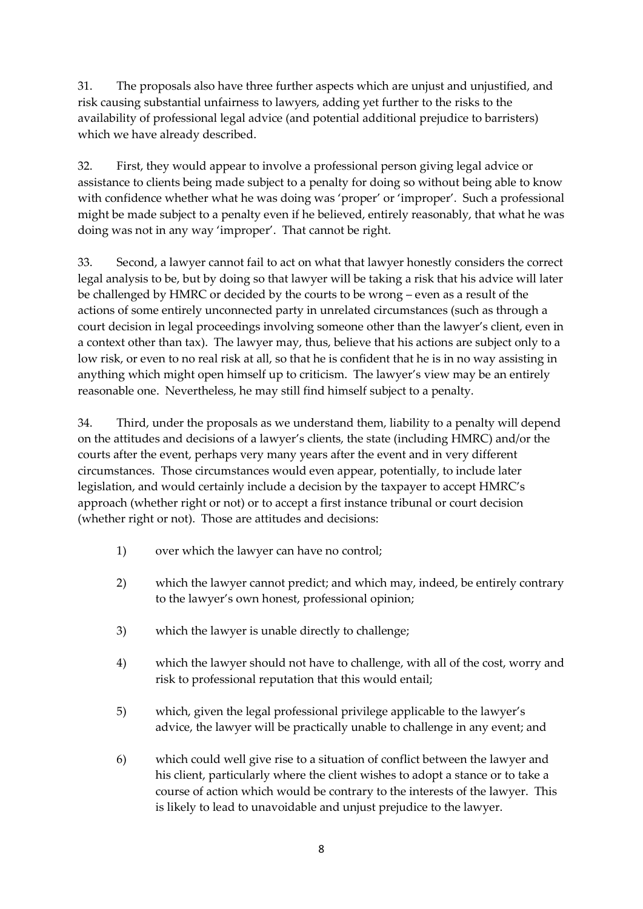31. The proposals also have three further aspects which are unjust and unjustified, and risk causing substantial unfairness to lawyers, adding yet further to the risks to the availability of professional legal advice (and potential additional prejudice to barristers) which we have already described.

32. First, they would appear to involve a professional person giving legal advice or assistance to clients being made subject to a penalty for doing so without being able to know with confidence whether what he was doing was 'proper' or 'improper'. Such a professional might be made subject to a penalty even if he believed, entirely reasonably, that what he was doing was not in any way 'improper'. That cannot be right.

33. Second, a lawyer cannot fail to act on what that lawyer honestly considers the correct legal analysis to be, but by doing so that lawyer will be taking a risk that his advice will later be challenged by HMRC or decided by the courts to be wrong – even as a result of the actions of some entirely unconnected party in unrelated circumstances (such as through a court decision in legal proceedings involving someone other than the lawyer's client, even in a context other than tax). The lawyer may, thus, believe that his actions are subject only to a low risk, or even to no real risk at all, so that he is confident that he is in no way assisting in anything which might open himself up to criticism. The lawyer's view may be an entirely reasonable one. Nevertheless, he may still find himself subject to a penalty.

34. Third, under the proposals as we understand them, liability to a penalty will depend on the attitudes and decisions of a lawyer's clients, the state (including HMRC) and/or the courts after the event, perhaps very many years after the event and in very different circumstances. Those circumstances would even appear, potentially, to include later legislation, and would certainly include a decision by the taxpayer to accept HMRC's approach (whether right or not) or to accept a first instance tribunal or court decision (whether right or not). Those are attitudes and decisions:

- 1) over which the lawyer can have no control;
- 2) which the lawyer cannot predict; and which may, indeed, be entirely contrary to the lawyer's own honest, professional opinion;
- 3) which the lawyer is unable directly to challenge;
- 4) which the lawyer should not have to challenge, with all of the cost, worry and risk to professional reputation that this would entail;
- 5) which, given the legal professional privilege applicable to the lawyer's advice, the lawyer will be practically unable to challenge in any event; and
- 6) which could well give rise to a situation of conflict between the lawyer and his client, particularly where the client wishes to adopt a stance or to take a course of action which would be contrary to the interests of the lawyer. This is likely to lead to unavoidable and unjust prejudice to the lawyer.